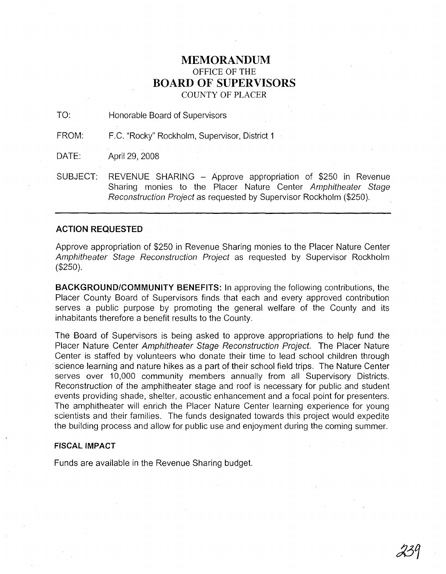## **MEMORANDUM** OFFICE OF THE **BOARD OF SUPERVISORS**

COUNTY OF PLACER

TO: Honorable Board of Supervisors

FROM: F.C. "Rocky" Rockholm, Supervisor, District 1

DATE: April 29, 2008

SUBJECT: REVENUE SHARING - Approve appropriation of \$250 in Revenue Sharing monies to the Placer Nature Center Amphitheater Stage Reconstruction Project as requested by Supervisor Rockholm (\$250).

## **ACTION REQUESTED**

Approve appropriation of \$250 in Revenue. Sharing monies to the Placer Nature Center Amphitheater Stage Reconstruction Project as requested by Supervisor Rockholm (\$250).

**BACKGROUND/COMMUNITY BENEFITS:** In approving the following contributions, the Placer County Board of Supervisors finds that each and every approved contribution serves a public purpose by promoting the general welfare of the County and its inhabitants therefore a benefit results to the County.

The Hoard of Supervisors is being asked to approve appropriations to help fund the Placer Nature Center Amphitheater Stage Reconstruction Project. The Placer Nature Center is staffed by volunteers who donate their time to lead school children through science learning and nature hikes as a part of their school field trips. The Nature Center serves over 10,000 community members annually from all Supervisory Districts. Reconstruction of the amphitheater stage and roof is necessary for public and student events providing shade, shelter, acoustic enhancement and a focal point for presenters. The amphitheater will enrich the Placer Nature Center learning experience for young scientists and their families. The funds designated towards this project would expedite the building process and allow for public use and enjoyment during the coming summer.

## **FISCAL IMPACT**

Funds are available in the Revenue Sharing budget.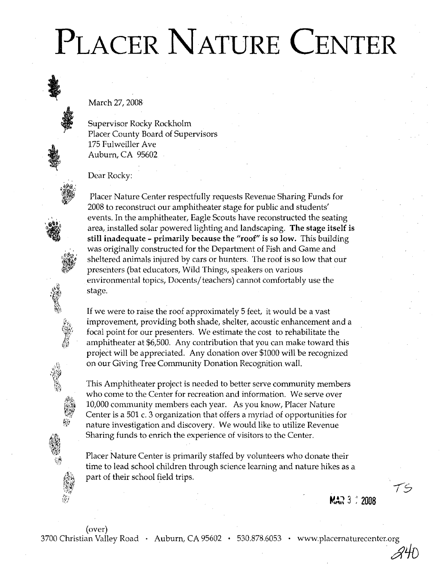## PLACER NATURE CENTER

March 27, 2008

Supervisor Rocky Rockholm Placer County Board of Supervisors 175 Fulweiller Ave Auburn, CA 95602

Dear Rocky:



Placer Nature Center respectfully requests Revenue Sharing Funds for 2008 to reconstruct our amphitheater stage for public and students' events. In the amphitheater, Eagle Scouts have reconstructed the seating area, installed solar powered lighting and landscaping. The stage itself is still inadequate- primarily because the "roof" is so low. This building was originally constructed for the Department of Fish and Game and sheltered animals injured by cars or hunters. The roof is so low that our presenters (bat educators, Wild Things, speakers on various environmental topics, Docents/teachers) cannot comfortably use the stage.

If we were to raise the roof approximately 5 feet, it would be a vast improvement, providing both shade, shelter, acoustic enhancement and a focal point for our presenters. We estimate the cost to rehabilitate the amphitheater at \$6,500. Any contribution that you can make toward this project will be appreciated. Any donation over \$1000 will be recognized on our Giving Tree Community Donation Recognition wall.

This Amphitheater project is needed to better serve community members who come to the Center for recreation and information. We serve over 10,000 community members each year. As you know, Placer Nature Center is a 501 c. 3 organization that offers a myriad of opportunities for nature investigation and discovery. We would like to utilize Revenue Sharing funds to enrich the experience of visitors to the Center.

Placer Nature Center is primarily staffed by volunteers who donate their time to lead school children through science learning and nature hikes as a part of their school field trips.

**MAR** 3  $\degree$  2008

'is

 $\mathscr{A}$ H)

(over)

3700 Christian Valley Road • Auburn, CA 95602 • 530.878.6053 • www.placernaturecenter.org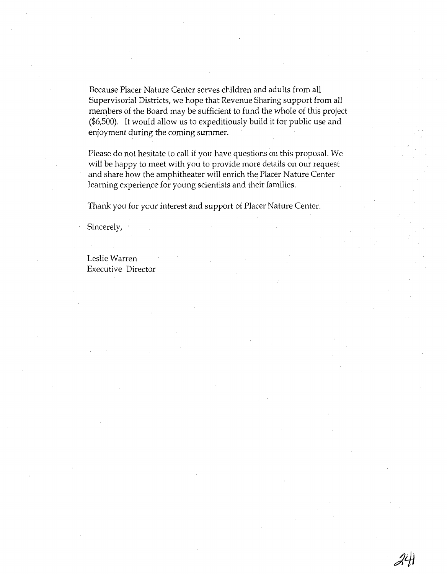Because Placer Nature Center serves children and adults from all Supervisorial Districts, we hope that Revenue Sharing support from all members of the Board may be sufficient to fund the whole of this project (\$6,500). It would allow us to expeditiously build it for public use and enjoyment during the coming summer.

Please do not hesitate to call if you have questions on this proposal. We will be happy to meet with you to provide more details on our request and share how the amphitheater will enrich the Placer Nature Center learning experience for young scientists and their families.

Thank you for your interest and support of Placer Nature Center.

Sincerely,

Leslie Warren Executive Director